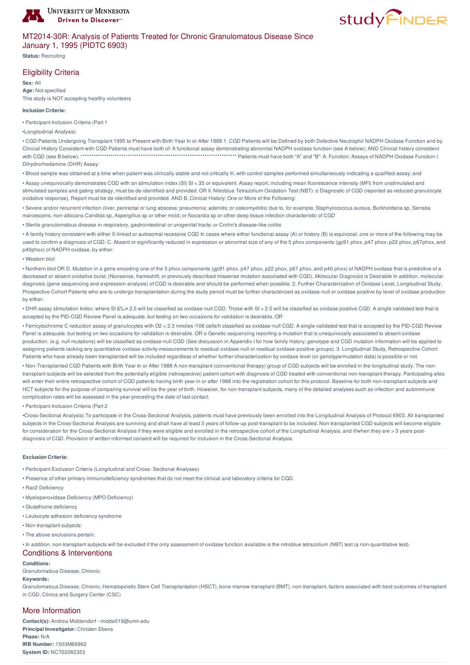

# **studyFINDER**

# MT2014-30R: Analysis of Patients Treated for Chronic Granulomatous Disease Since January 1, 1995 (PIDTC 6903)

**Status:** Recruiting

## Eligibility Criteria

**Sex:** All **Age:** Not specified This study is NOT accepting healthy volunteers

#### **Inclusion Criteria:**

• Participant Inclusion Criteria (Part 1

•Longitudinal Analysis)

• CGD Patients Undergoing Transplant 1995 to Present with Birth Year In or After 1988 1. CGD Patients will be Defined by both Defective Neutrophil NADPH Oxidase Function and by Clinical History Consistent with CGD Patients must have both of: A functional assay demonstrating abnormal NADPH oxidase function (see A below); AND Clinical history consistent with CGD (see B below). \*\*\*\*\*\*\*\*\*\*\*\*\*\*\*\*\*\*\*\*\*\*\*\*\*\*\*\*\*\*\*\*\*\*\*\*\*\*\*\*\*\*\*\*\*\*\*\*\*\*\*\*\*\*\*\*\*\*\*\*\*\*\*\*\*\*\*\*\*\*\*\*\* Patients must have both "A" and "B": A. Function: Assays of NADPH Oxidase Function I. Dihydrorhodamine (DHR) Assay:

• Blood sample was obtained at a time when patient was clinically stable and not critically ill, with control samples performed simultaneously indicating a qualified assay; and

• Assay unequivocally demonstrates CGD with an stimulation index (SI) SI < 35 or equivalent. Assay report, including mean fluorescence intensity (MFI) from unstimulated and stimulated samples and gating strategy, must be de-identified and provided. OR II. Nitroblue Tetrazolium Oxidation Test (NBT): o Diagnostic of CGD (reported as reduced granulocyte oxidative response). Report must be de-identified and provided. AND B. Clinical History: One or More of the Following:

• Severe and/or recurrent infection (liver, perirectal or lung abscess; pneumonia; adenitis; or osteomyelitis) due to, for example, Staphylococcus aureus, Burkholderia sp, Serratia marcescens, non-albicans Candida sp, Aspergillus sp or other mold; or Nocardia sp or other deep tissue infection characteristic of CGD

• Sterile granulomatous disease in respiratory, gastrointestinal or urogenital tracts; or Crohn's disease-like colitis

• A family history consistent with either X-linked or autosomal recessive CGD In cases where either functional assay (A) or history (B) is equivocal, one or more of the following may be used to confirm a diagnosis of CGD: C. Absent or significantly reduced in expression or abnormal size of any of the 5 phox components (gp91 phox, p47 phox, p22 phox, p67phox, and p40phox) of NADPH oxidase, by either:

#### • Western blot

• Northern blot OR D. Mutation in a gene encoding one of the 5 phox components (gp91 phox, p47 phox, p22 phox, p67 phox, and p40 phox) of NADPH oxidase that is predictive of a decreased or absent oxidative burst. (Nonsense, frameshift, or previously described missense mutation associated with CGD). Molecular Diagnosis is Desirable In addition, molecular diagnosis (gene sequencing and expression analysis) of CGD is desirable and should be performed when possible. 2. Further Characterization of Oxidase Level, Longitudinal Study, Prospective Cohort Patients who are to undergo transplantation during the study period must be further characterized as oxidase-null or oxidase positive by level of oxidase production by either:

· DHR assay stimulation Index: where SI ≤ 2.5 will be classified as oxidase-null CGD. Those with SI > 2.5 will be classified as oxidase positive CGD. A single validated test that is accepted by the PID-CGD Review Panel is adequate, but testing on two occasions for validation is desirable. OR

• Ferricytochrome C reduction assay of granulocytes with O2 < 2.3 nmoles /106 cells/h classified as oxidase-null CGD. A single validated test that is accepted by the PID-CGD Review Panel is adequate, but testing on two occasions for validation is desirable. OR o Genetic sequencing reporting a mutation that is unequivocally associated to absent oxidase production. (e.g. null mutations) will be classified as oxidase-null CGD (See discussion in Appendix I for how family history, genotype and CGD mutation information will be applied to assigning patients lacking any quantitative oxidase activity measurements to residual oxidase-null or residual oxidase-positive groups). 3. Longitudinal Study, Retrospective Cohort Patients who have already been transplanted will be included regardless of whether further characterization by oxidase level (or genotype/mutation data) is possible or not.

• Non-Transplanted CGD Patients with Birth Year In or After 1988 A non-transplant (conventional therapy) group of CGD subjects will be enrolled in the longitudinal study. The nontransplant subjects will be selected from the potentially eligible (retrospective) patient cohort with diagnosis of CGD treated with conventional non-transplant therapy. Participating sites will enter their entire retrospective cohort of CGD patients having birth year in or after 1988 into the registration cohort for this protocol. Baseline for both non-transplant subjects and HCT subjects for the purpose of comparing survival will be the year of birth. However, for non-transplant subjects, many of the detailed analyses such as infection and autoimmune complication rates will be assessed in the year preceding the date of last contact.

• Participant Inclusion Criteria (Part 2

•Cross-Sectional Analysis) To participate in the Cross-Sectional Analysis, patients must have previously been enrolled into the Longitudinal Analysis of Protocol 6903. All transplanted subjects in the Cross-Sectional Analysis are surviving and shall have at least 3 years of follow-up post-transplant to be included. Non-transplanted CGD subjects will become eligible for consideration for the Cross-Sectional Analysis if they were eligible and enrolled in the retrospective cohort of the Longitudinal Analysis, and if/when they are > 3 years postdiagnosis of CGD. Provision of written informed consent will be required for inclusion in the Cross-Sectional Analysis.

## **Exclusion Criteria:**

- Participant Exclusion Criteria (Longitudinal and Cross- Sectional Analyses)
- Presence of other primary immunodeficiency syndromes that do not meet the clinical and laboratory criteria for CGD.
- Rac2 Deficiency
- Myeloperoxidase Deficiency (MPO Deficiency)
- Glutathione deficiency
- Leukocyte adhesion deficiency syndrome
- Non-transplant subjects:
- The above exclusions pertain.

• In addition, non-transplant subjects will be excluded if the only assessment of oxidase function available is the nitroblue tetrazolium (NBT) test (a non-quantitative test).

## Conditions & Interventions

### **Conditions:**

Granulomatous Disease, Chronic

**Keywords:**

Granulomatous Disease, Chronic, Hematopoietic Stem Cell Transplantation (HSCT), bone marrow transplant (BMT), non-transplant, factors associated with best outcomes of transplant in CGD, Clinics and Surgery Center (CSC)

## More Information

**Contact(s):** Andrea Middendorf - midde019@umn.edu **Principal Investigator:** Christen Ebens **Phase:** N/A **IRB Number:** 1503M66962 **System ID:** NCT02082353